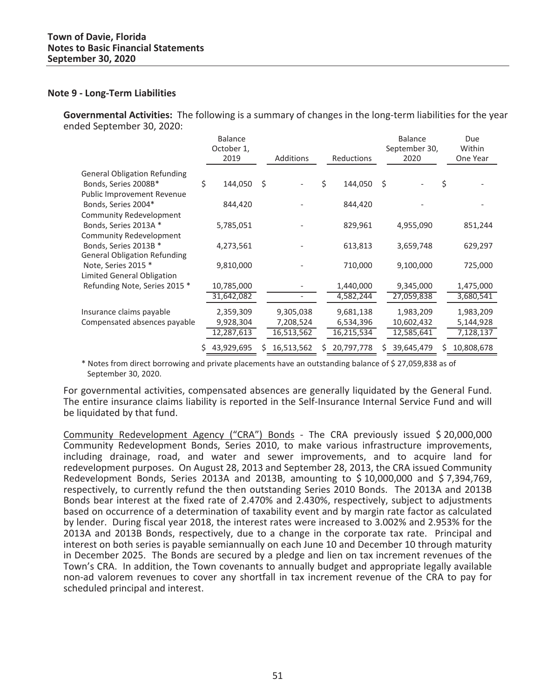#### **Note 9 - Long-Term Liabilities**

**Governmental Activities:** The following is a summary of changes in the long-term liabilities for the year ended September 30, 2020:

|                                                   | <b>Balance</b><br>October 1, |    |            |    |            |    | <b>Balance</b><br>September 30, |    | Due<br>Within |
|---------------------------------------------------|------------------------------|----|------------|----|------------|----|---------------------------------|----|---------------|
|                                                   | 2019                         |    | Additions  |    | Reductions |    | 2020                            |    | One Year      |
| <b>General Obligation Refunding</b>               |                              |    |            |    |            |    |                                 |    |               |
| Bonds, Series 2008B*                              | \$<br>144,050                | \$ |            | \$ | 144,050    | \$ |                                 | \$ |               |
| Public Improvement Revenue                        |                              |    |            |    |            |    |                                 |    |               |
| Bonds, Series 2004*                               | 844,420                      |    |            |    | 844,420    |    |                                 |    |               |
| Community Redevelopment                           |                              |    |            |    |            |    |                                 |    |               |
| Bonds, Series 2013A *                             | 5,785,051                    |    |            |    | 829,961    |    | 4,955,090                       |    | 851,244       |
| Community Redevelopment                           |                              |    |            |    |            |    |                                 |    |               |
| Bonds, Series 2013B *                             | 4,273,561                    |    |            |    | 613,813    |    | 3,659,748                       |    | 629,297       |
| <b>General Obligation Refunding</b>               |                              |    |            |    |            |    |                                 |    |               |
| Note, Series 2015 *<br>Limited General Obligation | 9,810,000                    |    |            |    | 710,000    |    | 9,100,000                       |    | 725,000       |
| Refunding Note, Series 2015 *                     | 10,785,000                   |    |            |    | 1,440,000  |    | 9,345,000                       |    | 1,475,000     |
|                                                   | 31,642,082                   |    |            |    | 4,582,244  |    | 27,059,838                      |    | 3,680,541     |
|                                                   |                              |    |            |    |            |    |                                 |    |               |
| Insurance claims payable                          | 2,359,309                    |    | 9,305,038  |    | 9,681,138  |    | 1,983,209                       |    | 1,983,209     |
| Compensated absences payable                      | 9,928,304                    |    | 7,208,524  |    | 6,534,396  |    | 10,602,432                      |    | 5,144,928     |
|                                                   | 12,287,613                   |    | 16,513,562 |    | 16,215,534 |    | 12,585,641                      |    | 7,128,137     |
|                                                   | 43,929,695                   | S  | 16,513,562 | S  | 20,797,778 | S  | 39,645,479                      | S  | 10,808,678    |

\* Notes from direct borrowing and private placements have an outstanding balance of \$ 27,059,838 as of September 30, 2020.

in 1 For governmental activities, compensated absences are generally liquidated by the General Fund. The entire insurance claims liability is reported in the Self-Insurance Internal Service Fund and will be liquidated by that fund.

Community Redevelopment Agency ("CRA") Bonds - The CRA previously issued \$ 20,000,000 Community Redevelopment Bonds, Series 2010, to make various infrastructure improvements, including drainage, road, and water and sewer improvements, and to acquire land for redevelopment purposes.On August 28, 2013 and September 28, 2013, the CRA issued Community Redevelopment Bonds, Series 2013A and 2013B, amounting to \$ 10,000,000 and \$ 7,394,769, respectively, to currently refund the then outstanding Series 2010 Bonds. The 2013A and 2013B Bonds bear interest at the fixed rate of 2.470% and 2.430%, respectively, subject to adjustments based on occurrence of a determination of taxability event and by margin rate factor as calculated by lender. During fiscal year 2018, the interest rates were increased to 3.002% and 2.953% for the 2013A and 2013B Bonds, respectively, due to a change in the corporate tax rate. Principal and interest on both series is payable semiannually on each June 10 and December 10 through maturity in December 2025.The Bonds are secured by a pledge and lien on tax increment revenues of the Town's CRA. In addition, the Town covenants to annually budget and appropriate legally available non-ad valorem revenues to cover any shortfall in tax increment revenue of the CRA to pay for scheduled principal and interest.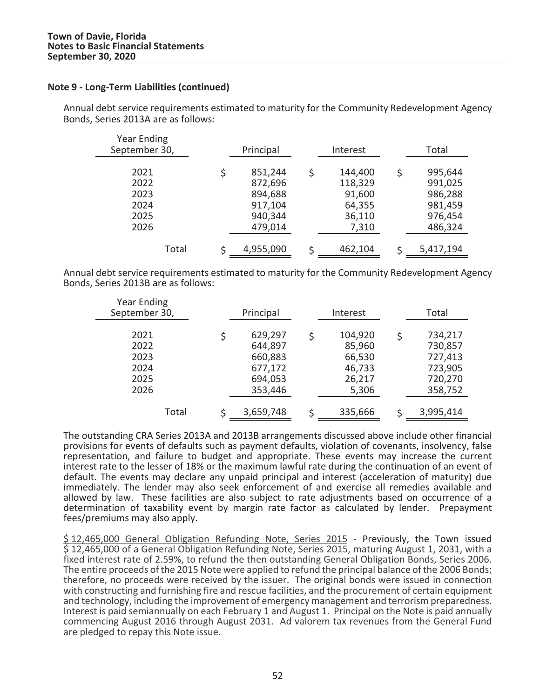Annual debt service requirements estimated to maturity for the Community Redevelopment Agency Bonds, Series 2013A are as follows:

| <b>Year Ending</b><br>September 30,  | Principal                                           |   | Interest                                         | Total                                                     |
|--------------------------------------|-----------------------------------------------------|---|--------------------------------------------------|-----------------------------------------------------------|
| 2021<br>2022<br>2023<br>2024<br>2025 | 851,244<br>872,696<br>894,688<br>917,104<br>940,344 | Ś | 144,400<br>118,329<br>91,600<br>64,355<br>36,110 | \$<br>995,644<br>991,025<br>986,288<br>981,459<br>976,454 |
| 2026                                 | 479,014                                             |   | 7,310                                            | 486,324                                                   |
| Total                                | 4,955,090                                           |   | 462,104                                          | 5,417,194                                                 |

 $\mathbb{R}^2$ Annual debt service requirements estimated to maturity for the Community Redevelopment Agency Bonds, Series 2013B are as follows:

| <b>Year Ending</b><br>September 30,          | Principal                                                      | Interest                                                 |   | Total                                                          |
|----------------------------------------------|----------------------------------------------------------------|----------------------------------------------------------|---|----------------------------------------------------------------|
| 2021<br>2022<br>2023<br>2024<br>2025<br>2026 | 629,297<br>644,897<br>660,883<br>677,172<br>694,053<br>353,446 | 104,920<br>85,960<br>66,530<br>46,733<br>26,217<br>5,306 | Ś | 734,217<br>730,857<br>727,413<br>723,905<br>720,270<br>358,752 |
| Total                                        | 3,659,748                                                      | 335,666                                                  |   | 3,995,414                                                      |

a la The outstanding CRA Series 2013A and 2013B arrangements discussed above include other financial provisions for events of defaults such as payment defaults, violation of covenants, insolvency, false representation, and failure to budget and appropriate. These events may increase the current interest rate to the lesser of 18% or the maximum lawful rate during the continuation of an event of default. The events may declare any unpaid principal and interest (acceleration of maturity) due immediately. The lender may also seek enforcement of and exercise all remedies available and allowed by law. These facilities are also subject to rate adjustments based on occurrence of a determination of taxability event by margin rate factor as calculated by lender. Prepayment fees/premiums may also apply.

\$ 12,465,000 General Obligation Refunding Note, Series 2015 - Previously, the Town issued \$ 12,465,000 of a General Obligation Refunding Note, Series 2015, maturing August 1, 2031, with a fixed interest rate of 2.59%, to refund the then outstanding General Obligation Bonds, Series 2006. The entire proceeds of the 2015 Note were applied to refund the principal balance of the 2006 Bonds; therefore, no proceeds were received by the issuer. The original bonds were issued in connection with constructing and furnishing fire and rescue facilities, and the procurement of certain equipment and technology, including the improvement of emergency management and terrorism preparedness. Interest is paid semiannually on each February 1 and August 1. Principal on the Note is paid annually commencing August 2016 through August 2031. Ad valorem tax revenues from the General Fund are pledged to repay this Note issue.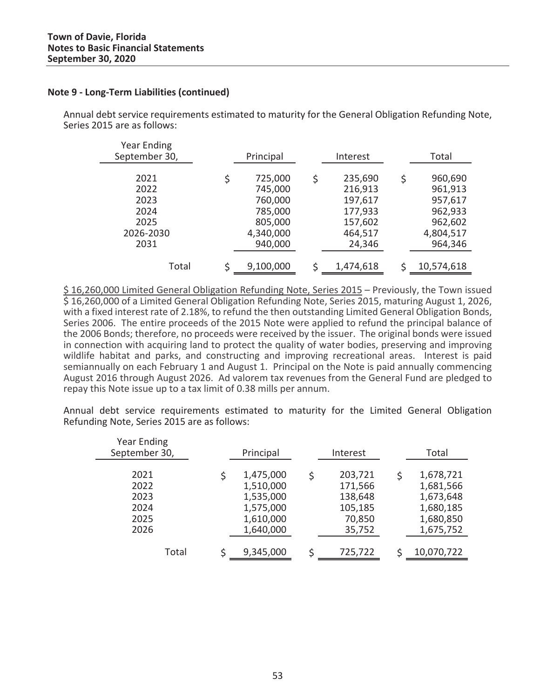Annual debt service requirements estimated to maturity for the General Obligation Refunding Note, Series 2015 are as follows:

| <b>Year Ending</b><br>September 30, | Principal     |   | Interest  |   | Total      |
|-------------------------------------|---------------|---|-----------|---|------------|
| 2021                                | \$<br>725,000 | Ś | 235,690   | Ś | 960,690    |
| 2022                                | 745,000       |   | 216,913   |   | 961,913    |
| 2023                                | 760,000       |   | 197,617   |   | 957,617    |
| 2024                                | 785,000       |   | 177,933   |   | 962,933    |
| 2025                                | 805,000       |   | 157,602   |   | 962,602    |
| 2026-2030                           | 4,340,000     |   | 464,517   |   | 4,804,517  |
| 2031                                | 940,000       |   | 24,346    |   | 964,346    |
|                                     |               |   |           |   |            |
| Total                               | 9,100,000     |   | 1,474,618 |   | 10,574,618 |

\$ 16,260,000 Limited General Obligation Refunding Note, Series 2015 – Previously, the Town issued \$ 16,260,000 of a Limited General Obligation Refunding Note, Series 2015, maturing August 1, 2026, with a fixed interest rate of 2.18%, to refund the then outstanding Limited General Obligation Bonds, Series 2006. The entire proceeds of the 2015 Note were applied to refund the principal balance of the 2006 Bonds; therefore, no proceeds were received by the issuer. The original bonds were issued in connection with acquiring land to protect the quality of water bodies, preserving and improving wildlife habitat and parks, and constructing and improving recreational areas. Interest is paid semiannually on each February 1 and August 1. Principal on the Note is paid annually commencing August 2016 through August 2026. Ad valorem tax revenues from the General Fund are pledged to repay this Note issue up to a tax limit of 0.38 mills per annum.

Annual debt service requirements estimated to maturity for the Limited General Obligation Refunding Note, Series 2015 are as follows:

| <b>Year Ending</b><br>September 30,          | Principal                                                                  |   | Interest                                                     |   | Total                                                                      |
|----------------------------------------------|----------------------------------------------------------------------------|---|--------------------------------------------------------------|---|----------------------------------------------------------------------------|
| 2021<br>2022<br>2023<br>2024<br>2025<br>2026 | 1,475,000<br>1,510,000<br>1,535,000<br>1,575,000<br>1,610,000<br>1,640,000 | ς | 203,721<br>171,566<br>138,648<br>105,185<br>70,850<br>35,752 | Ś | 1,678,721<br>1,681,566<br>1,673,648<br>1,680,185<br>1,680,850<br>1,675,752 |
| Total                                        | 9,345,000                                                                  |   | 725,722                                                      |   | 10,070,722                                                                 |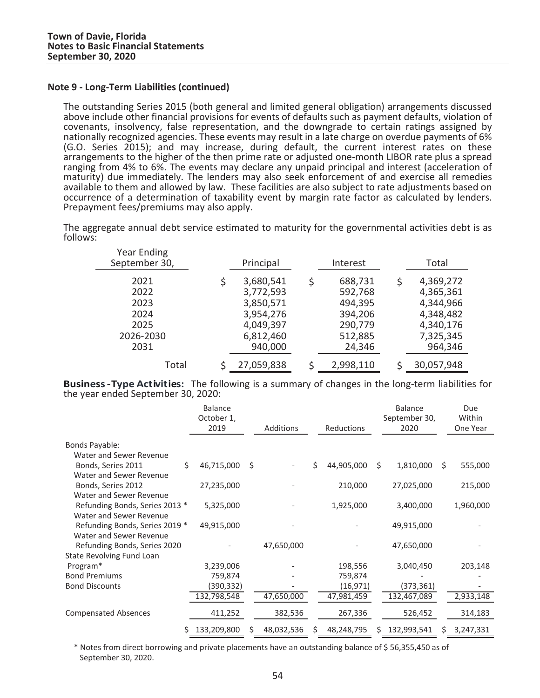The outstanding Series 2015 (both general and limited general obligation) arrangements discussed above include other financial provisions for events of defaults such as payment defaults, violation of covenants, insolvency, false representation, and the downgrade to certain ratings assigned by nationally recognized agencies. These events may result in a late charge on overdue payments of 6% (G.O. Series 2015); and may increase, during default, the current interest rates on these arrangements to the higher of the then prime rate or adjusted one-month LIBOR rate plus a spread ranging from 4% to 6%. The events may declare any unpaid principal and interest (acceleration of maturity) due immediately. The lenders may also seek enforcement of and exercise all remedies available to them and allowed by law. These facilities are also subject to rate adjustments based on occurrence of <sup>a</sup> determination of taxability event by margin rate factor as calculated by lenders. Prepayment fees/premiums may also apply.

The aggregate annual debt service estimated to maturity for the governmental activities debt is as follows:

| <b>Year Ending</b><br>September 30, | Principal              |   | Interest           |   | Total                  |
|-------------------------------------|------------------------|---|--------------------|---|------------------------|
| 2021<br>2022                        | 3,680,541              | Ś | 688,731            | S | 4,369,272              |
| 2023                                | 3,772,593<br>3,850,571 |   | 592,768<br>494,395 |   | 4,365,361<br>4,344,966 |
| 2024<br>2025                        | 3,954,276<br>4,049,397 |   | 394,206<br>290,779 |   | 4,348,482<br>4,340,176 |
| 2026-2030<br>2031                   | 6,812,460<br>940,000   |   | 512,885<br>24,346  |   | 7,325,345<br>964,346   |
| Total                               | 27,059,838             |   | 2,998,110          |   | 30,057,948             |

 $\sim$ **Business** - Type Activities: The following is a summary of changes in the long-term liabilities for the year ended September 30, 2020:

|                                |   | <b>Balance</b><br>October 1,<br>2019 |    | <b>Additions</b> |   | Reductions |    | <b>Balance</b><br>September 30,<br>2020 |    | Due<br>Within<br>One Year |
|--------------------------------|---|--------------------------------------|----|------------------|---|------------|----|-----------------------------------------|----|---------------------------|
| <b>Bonds Payable:</b>          |   |                                      |    |                  |   |            |    |                                         |    |                           |
| Water and Sewer Revenue        |   |                                      |    |                  |   |            |    |                                         |    |                           |
| Bonds, Series 2011             | Ś | 46,715,000                           | Ŝ. |                  | Ś | 44,905,000 | Ŝ. | 1,810,000                               | \$ | 555,000                   |
| Water and Sewer Revenue        |   |                                      |    |                  |   |            |    |                                         |    |                           |
| Bonds, Series 2012             |   | 27,235,000                           |    |                  |   | 210,000    |    | 27,025,000                              |    | 215,000                   |
| Water and Sewer Revenue        |   |                                      |    |                  |   |            |    |                                         |    |                           |
| Refunding Bonds, Series 2013 * |   | 5,325,000                            |    |                  |   | 1,925,000  |    | 3,400,000                               |    | 1,960,000                 |
| Water and Sewer Revenue        |   |                                      |    |                  |   |            |    |                                         |    |                           |
| Refunding Bonds, Series 2019 * |   | 49,915,000                           |    |                  |   |            |    | 49,915,000                              |    |                           |
| Water and Sewer Revenue        |   |                                      |    |                  |   |            |    |                                         |    |                           |
| Refunding Bonds, Series 2020   |   |                                      |    | 47,650,000       |   |            |    | 47,650,000                              |    |                           |
| State Revolving Fund Loan      |   |                                      |    |                  |   |            |    |                                         |    |                           |
| Program*                       |   | 3,239,006                            |    |                  |   | 198,556    |    | 3,040,450                               |    | 203,148                   |
| <b>Bond Premiums</b>           |   | 759,874                              |    |                  |   | 759,874    |    |                                         |    |                           |
| <b>Bond Discounts</b>          |   | (390,332)                            |    |                  |   | (16, 971)  |    | (373, 361)                              |    |                           |
|                                |   | 132,798,548                          |    | 47,650,000       |   | 47,981,459 |    | 132,467,089                             |    | 2,933,148                 |
| <b>Compensated Absences</b>    |   | 411,252                              |    | 382,536          |   | 267,336    |    | 526,452                                 |    | 314,183                   |
|                                | Ś | 133,209,800                          | S  | 48,032,536       | S | 48,248,795 | S  | 132,993,541                             | S  | 3,247,331                 |

\* Notes from direct borrowing and private placements have an outstanding balance of \$ 56,355,450 as of September 30, 2020.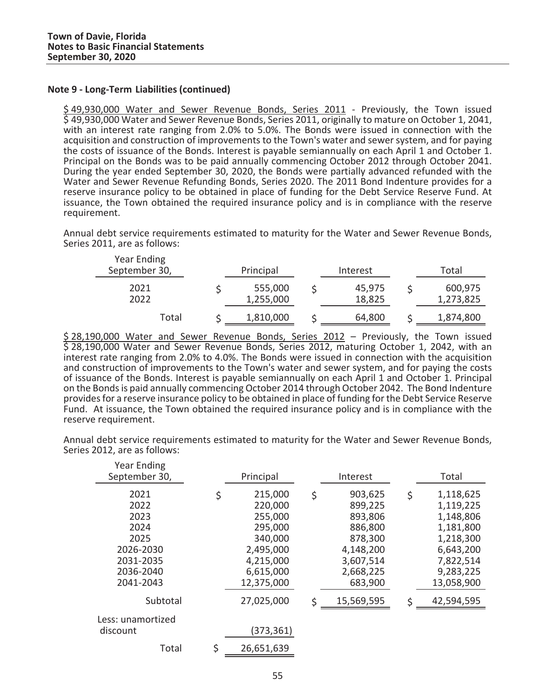\$ 49,930,000 Water and Sewer Revenue Bonds, Series 2011 - Previously, the Town issued \$ 49,930,000 Water and Sewer Revenue Bonds, Series 2011, originally to mature on October 1, 2041, with an interest rate ranging from 2.0% to 5.0%. The Bonds were issued in connection with the acquisition and construction of improvements to the Town's water and sewer system, and for paying the costs of issuance of the Bonds. Interest is payable semiannually on each April 1 and October 1.<br>Principal on the Bonds was to be paid annually commencing October 2012 through October 2041. During the year ended September 30, 2020, the Bonds were partially advanced refunded with the Water and Sewer Revenue Refunding Bonds, Series 2020. The 2011 Bond Indenture provides for a reserve insurance policy to be obtained in place of funding for the Debt Service Reserve Fund. At issuance, the Town obtained the required insurance policy and is in compliance with the reserve requirement.

Annual debt service requirements estimated to maturity for the Water and Sewer Revenue Bonds, Series 2011, are as follows:

| Year Ending<br>September 30, | Principal            | Interest         | Total                |
|------------------------------|----------------------|------------------|----------------------|
| 2021<br>2022                 | 555,000<br>1,255,000 | 45,975<br>18,825 | 600,975<br>1,273,825 |
| Total                        | 1,810,000            | 64,800           | 1,874,800            |

 $\mathbb{R}^n$ \$ 28,190,000 Water and Sewer Revenue Bonds, Series 2012 – Previously, the Town issued \$ 28,190,000 Water and Sewer Revenue Bonds, Series 2012, maturing October 1, 2042, with an interest rate ranging from 2.0% to 4.0%. The Bonds were issued in connection with the acquisition and construction of improvements to the Town's water and sewer system, and for paying the costs of issuance of the Bonds. Interest is payable semiannually on each April 1 and October 1. Principal on the Bonds is paid annually commencing October 2014 through October 2042. The Bond Indenture providesfor a reserve insurance policy to be obtained in place of funding for the Debt Service Reserve Fund. At issuance, the Town obtained the required insurance policy and is in compliance with the reserve requirement.

Annual debt service requirements estimated to maturity for the Water and Sewer Revenue Bonds, Series 2012, are as follows:

| <b>Year Ending</b><br>September 30,                                         | Principal                                                                                        | Interest                                                                                         | Total                                                                                                      |
|-----------------------------------------------------------------------------|--------------------------------------------------------------------------------------------------|--------------------------------------------------------------------------------------------------|------------------------------------------------------------------------------------------------------------|
| 2021<br>2022<br>2023<br>2024<br>2025<br>2026-2030<br>2031-2035<br>2036-2040 | \$<br>215,000<br>220,000<br>255,000<br>295,000<br>340,000<br>2,495,000<br>4,215,000<br>6,615,000 | \$<br>903,625<br>899,225<br>893,806<br>886,800<br>878,300<br>4,148,200<br>3,607,514<br>2,668,225 | \$<br>1,118,625<br>1,119,225<br>1,148,806<br>1,181,800<br>1,218,300<br>6,643,200<br>7,822,514<br>9,283,225 |
| 2041-2043<br>Subtotal                                                       | 12,375,000<br>27,025,000                                                                         | \$<br>683,900<br>15,569,595                                                                      | \$<br>13,058,900<br>42,594,595                                                                             |
| Less: unamortized<br>discount                                               | (373,361)                                                                                        |                                                                                                  |                                                                                                            |
| Total                                                                       | \$<br>26,651,639                                                                                 |                                                                                                  |                                                                                                            |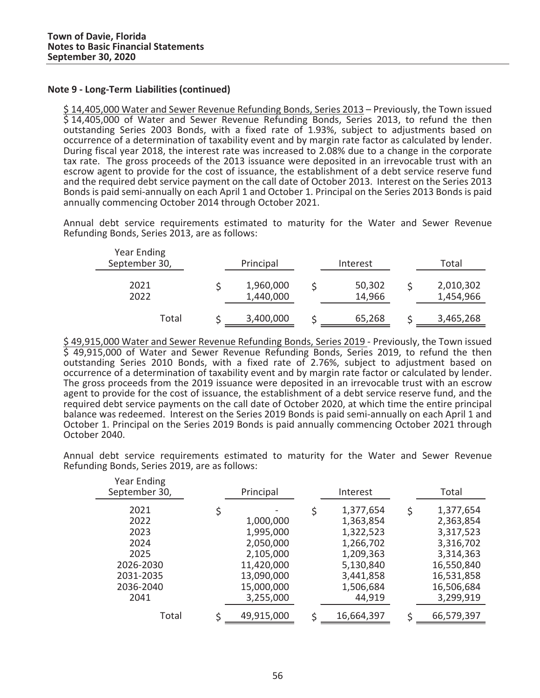\$ 14,405,000 Water and Sewer Revenue Refunding Bonds, Series 2013 – Previously, the Town issued \$ 14,405,000 of Water and Sewer Revenue Refunding Bonds, Series 2013, to refund the then outstanding Series 2003 Bonds, with a fixed rate of 1.93%, subject to adjustments based on occurrence of a determination of taxability event and by margin rate factor as calculated by lender. During fiscal year 2018, the interest rate was increased to 2.08% due to a change in the corporate tax rate. The gross proceeds of the 2013 issuance were deposited in an irrevocable trust with an escrow agent to provide for the cost of issuance, the establishment of a debt service reserve fund and the required debt service payment on the call date of October 2013. Interest on the Series 2013 Bonds is paid semi-annually on each April 1 and October 1. Principal on the Series 2013 Bonds is paid annually commencing October 2014 through October 2021.

Annual debt service requirements estimated to maturity for the Water and Sewer Revenue Refunding Bonds, Series 2013, are as follows:

| Year Ending<br>September 30, | Principal              |  | Interest         | Total                  |  |  |
|------------------------------|------------------------|--|------------------|------------------------|--|--|
| 2021<br>2022                 | 1,960,000<br>1,440,000 |  | 50,302<br>14,966 | 2,010,302<br>1,454,966 |  |  |
| Total                        | 3,400,000              |  | 65,268           | 3,465,268              |  |  |

\$ 49,915,000 Water and Sewer Revenue Refunding Bonds, Series 2019 - Previously, the Town issued \$ 49,915,000 of Water and Sewer Revenue Refunding Bonds, Series 2019, to refund the then outstanding Series 2010 Bonds, with a fixed rate of 2.76%, subject to adjustment based on occurrence of a determination of taxability event and by margin rate factor or calculated by lender. The gross proceeds from the 2019 issuance were deposited in an irrevocable trust with an escrow agent to provide for the cost of issuance, the establishment of a debt service reserve fund, and the required debt service payments on the call date of October 2020, at which time the entire principal balance was redeemed. Interest on the Series 2019 Bonds is paid semi-annually on each April 1 and October 1. Principal on the Series 2019 Bonds is paid annually commencing October 2021 through October 2040.

Annual debt service requirements estimated to maturity for the Water and Sewer Revenue Refunding Bonds, Series 2019, are as follows:

| Year Ending<br>September 30,                                                        | Principal                                                                                               | Interest                                                                                                             |   | Total                                                                                                                |
|-------------------------------------------------------------------------------------|---------------------------------------------------------------------------------------------------------|----------------------------------------------------------------------------------------------------------------------|---|----------------------------------------------------------------------------------------------------------------------|
| 2021<br>2022<br>2023<br>2024<br>2025<br>2026-2030<br>2031-2035<br>2036-2040<br>2041 | 1,000,000<br>1,995,000<br>2,050,000<br>2,105,000<br>11,420,000<br>13,090,000<br>15,000,000<br>3,255,000 | \$<br>1,377,654<br>1,363,854<br>1,322,523<br>1,266,702<br>1,209,363<br>5,130,840<br>3,441,858<br>1,506,684<br>44,919 | Ś | 1,377,654<br>2,363,854<br>3,317,523<br>3,316,702<br>3,314,363<br>16,550,840<br>16,531,858<br>16,506,684<br>3,299,919 |
| Total                                                                               | 49,915,000                                                                                              | 16,664,397                                                                                                           | ς | 66,579,397                                                                                                           |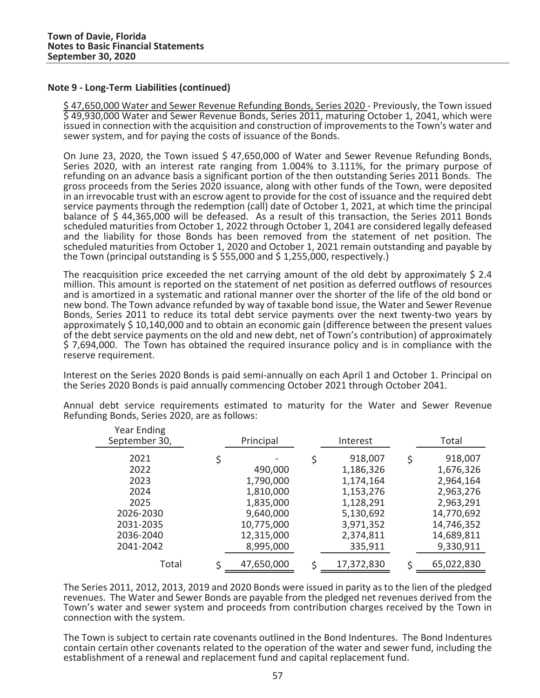Year Ending

\$ 47,650,000 Water and Sewer Revenue Refunding Bonds, Series 2020 - Previously, the Town issued \$ 49,930,000 Water and Sewer Revenue Bonds, Series 2011, maturing October 1, 2041, which were issued in connection with the acquisition and construction of improvements to the Town's water and sewer system, and for paying the costs of issuance of the Bonds.

On June 23, 2020, the Town issued \$ 47,650,000 of Water and Sewer Revenue Refunding Bonds, Series 2020, with an interest rate ranging from 1.004% to 3.111%, for the primary purpose of refunding on an advance basis a significant portion of the then outstanding Series 2011 Bonds. The gross proceeds from the Series 2020 issuance, along with other funds of the Town, were deposited in an irrevocable trust with an escrow agent to provide for the cost of issuance and the required debt service payments through the redemption (call) date of October 1, 2021, at which time the principal balance of \$ 44,365,000 will be defeased. As a result of this transaction, the Series 2011 Bonds scheduled maturities from October 1, 2022 through October 1, 2041 are considered legally defeased and the liability for those Bonds has been removed from the statement of net position. The scheduled maturities from October 1, 2020 and October 1, 2021 remain outstanding and payable by the Town (principal outstanding is  $\frac{2}{5}$  555,000 and  $\frac{2}{5}$  1,255,000, respectively.)

The reacquisition price exceeded the net carrying amount of the old debt by approximately \$ 2.4 million. This amount is reported on the statement of net position as deferred outflows of resources and is amortized in a systematic and rational manner over the shorter of the life of the old bond or new bond. The Town advance refunded by way of taxable bond issue, the Water and Sewer Revenue Bonds, Series 2011 to reduce its total debt service payments over the next twenty-two years by approximately \$ 10,140,000 and to obtain an economic gain (difference between the present values of the debt service payments on the old and new debt, net of Town's contribution) of approximately \$ 7,694,000.The Town has obtained the required insurance policy and is in compliance with the reserve requirement.

Interest on the Series 2020 Bonds is paid semi-annually on each April 1 and October 1. Principal on the Series 2020 Bonds is paid annually commencing October 2021 through October 2041.

Annual debt service requirements estimated to maturity for the Water and Sewer Revenue Refunding Bonds, Series 2020, are as follows:

| rear Ending<br>September 30,                                   | Principal                                                                       | Interest                                                                                    |    | Total                                                                                   |
|----------------------------------------------------------------|---------------------------------------------------------------------------------|---------------------------------------------------------------------------------------------|----|-----------------------------------------------------------------------------------------|
| 2021<br>2022<br>2023<br>2024<br>2025<br>2026-2030<br>2031-2035 | \$<br>490,000<br>1,790,000<br>1,810,000<br>1,835,000<br>9,640,000<br>10,775,000 | \$<br>918,007<br>1,186,326<br>1,174,164<br>1,153,276<br>1,128,291<br>5,130,692<br>3,971,352 | \$ | 918,007<br>1,676,326<br>2,964,164<br>2,963,276<br>2,963,291<br>14,770,692<br>14,746,352 |
| 2036-2040<br>2041-2042                                         | 12,315,000<br>8,995,000                                                         | 2,374,811<br>335,911                                                                        |    | 14,689,811<br>9,330,911                                                                 |
| Total                                                          | 47,650,000                                                                      | 17,372,830                                                                                  | Ś  | 65,022,830                                                                              |

a la The Series 2011, 2012, 2013, 2019 and 2020 Bonds were issued in parity as to the lien of the pledged revenues.The Water and Sewer Bonds are payable from the pledged net revenues derived from the Town's water and sewer system and proceeds from contribution charges received by the Town in connection with the system.

The Town is subject to certain rate covenants outlined in the Bond Indentures.The Bond Indentures contain certain other covenants related to the operation of the water and sewer fund, including the establishment of a renewal and replacement fund and capital replacement fund.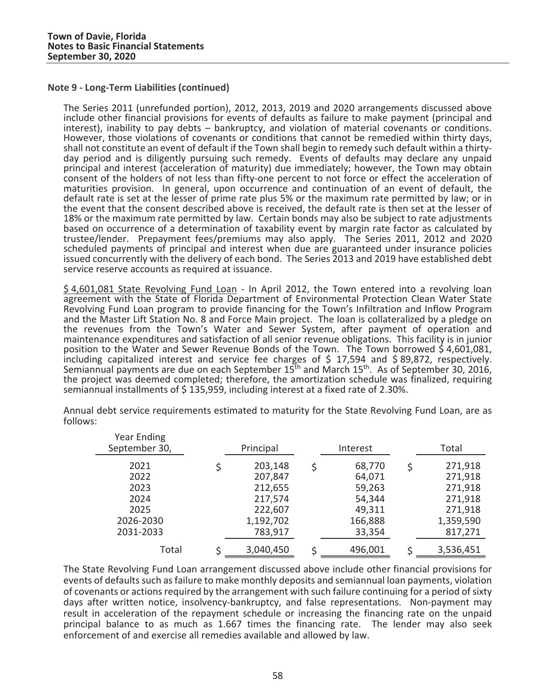The Series 2011 (unrefunded portion), 2012, 2013, 2019 and 2020 arrangements discussed above include other financial provisions for events of defaults as failure to make payment (principal and interest), inability to pay debts – bankruptcy, and violation of material covenants or conditions.<br>However, those violations of covenants or conditions that cannot be remedied within thirty days, shall not constitute an ev day period and is diligently pursuing such remedy. Events of defaults may declare any unpaid principal and interest (acceleration of maturity) due immediately; however, the Town may obtain consent of the holders of not less than fifty-one percent to not force or effect the acceleration of maturities provision. In general, upon occurrence and continuation of an event of default, the default rate is set at the lesser of prime rate plus 5% or the maximum rate permitted by law; or in the event that the consent described above is received, the default rate is then set at the lesser of 18% or the maximum rate permitted by law. Certain bonds may also be subject to rate adjustments based on occurrence of a determination of taxability event by margin rate factor as calculated by trustee/lender. Prepayment fees/premiums may also apply. The Series 2011, 2012 and 2020 scheduled payments of principal and interest when due are guaranteed under insurance policies issued concurrently with the delivery of each bond. The Series 2013 and 2019 have established debt service reserve accounts as required at issuance.

\$ 4,601,081 State Revolving Fund Loan - In April 2012, the Town entered into a revolving loan agreement with the State of Florida Department of Environmental Protection Clean Water State Revolving Fund Loan program to provide financing for the Town's Infiltration and Inflow Program and the Master Lift Station No. 8 and Force Main project. The loan is collateralized by a pledge on the revenues from the Town's Water and Sewer System, after payment of operation and maintenance expenditures and satisfaction of all senior revenue obligations.This facility is in junior position to the Water and Sewer Revenue Bonds of the Town. The Town borrowed \$ 4,601,081, including capitalized interest and service fee charges of \$ 17,594 and \$ 89,872, respectively. Semiannual payments are due on each September 15<sup>th</sup> and March 15<sup>th</sup>. As of September 30, 2016, the project was deemed completed; therefore, the amortization schedule was finalized, requiring semiannual installments of \$135,959, including interest at a fixed rate of 2.30%.

|              |                                   | Total              |  |  |
|--------------|-----------------------------------|--------------------|--|--|
| 203,148<br>Ś | 68,770<br>Ś                       | 271,918<br>271,918 |  |  |
| 212,655      | 59,263                            | 271,918            |  |  |
| 217,574      | 54,344                            | 271,918            |  |  |
| 222,607      | 49,311                            | 271,918            |  |  |
|              | 166,888                           | 1,359,590          |  |  |
| 783,917      | 33,354                            | 817,271            |  |  |
| ς            | 496,001                           | 3,536,451          |  |  |
|              | 207,847<br>1,192,702<br>3,040,450 | 64,071             |  |  |

Annual debt service requirements estimated to maturity for the State Revolving Fund Loan, are as follows:

and a The State Revolving Fund Loan arrangement discussed above include other financial provisions for events of defaults such as failure to make monthly deposits and semiannual loan payments, violation of covenants or actions required by the arrangement with such failure continuing for a period of sixty days after written notice, insolvency-bankruptcy, and false representations. Non-payment may result in acceleration of the repayment schedule or increasing the financing rate on the unpaid principal balance to as much as 1.667 times the financing rate. The lender may also seek enforcement of and exercise all remedies available and allowed by law.